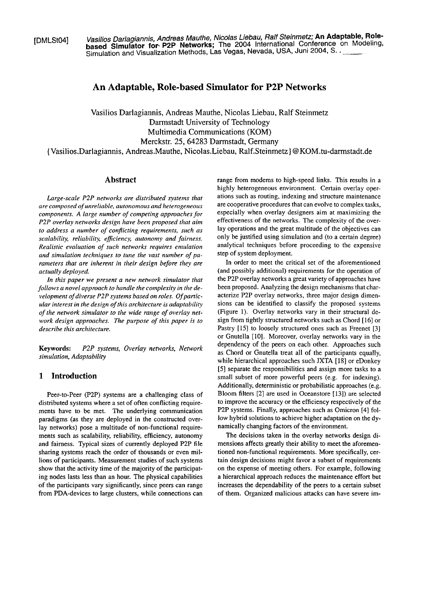(DMLSt041 **Vasilios Darlagiannis, Andreas Mauthe, Nicolas Liebau, Ralf Steinmetz; An Adaptable, Rolebased Simulator for- P2P Networks;** The 2004 International Conference on Modeling, Simulation and Visualization Methods, Las Vegas, Nevada, USA, Juni 2004, S. .

# **An Adaptable, Role-based Simulator for P2P Networks**

Vasilios Darlagiannis, Andreas Mauthe, Nicolas Liebau, Ralf Steinmetz Darmstadt University of Technology Multimedia Communications (KOM) Merckstr. 25, 64283 Darmstadt, Germany {Vasilios.Darlagiannis, Andreas.Mauthe, Nicolas.Liebau, Ralf.Steinmetz} @KOM.tu-darmstadt.de

### **Abstract**

*Lurge-scale P2P networks are distributed Systems that are composed of unreliable, autonomous und heterogeneous conzponents. A large nunlber of competing approaches for P2P overlay networks design have been proposed that aim*  to address a number of conflicting requirements, such as *scalability, reliability. eficiency, autonomy und fairness. Realistic evaluation of such networks requires emulation*  and simulation techniques to tune the vast number of pa*rameters that are inherent in their design before they are actually deployed.* 

*In this paper we present a new network simulator that follows a novel approach to handle the complexity in the development of diverse P2P systerns based on roles. Of particular interest in the design of this architecture is adaptability of the network simulator to the wide range of overlay network design approaches. The purpose of this paper is to describe this architecture.* 

# **1 Introduction**

Peer-to-Peer (P2P) systems are a challenging class of distributed systems where a set of often conflicting requirements have to be met. The underlying communication paradigms (as they are deployed in the constructed overlay networks) pose a multitude of non-functional requirements such as scalability, reliability, efficiency, autonomy and faimess. Typical sizes of currently deployed P2P file sharing systems reach the order of thousands or even millions of participants. Measurement studies of such systems show that the activity time of the majority of the participating nodes lasts less than an hour. The physical capabilities of the participants vary significantly, since peers can range from PDA-devices to large clusters, while connections can

range from modems to high-speed links. This results in a highly heterogeneous environment. Certain overlay operations such as routing, indexing and structure maintenance are cooperative procedures that can evolve to complex tasks, especially when overlay designers aim at maximizing the effectiveness of the networks. The complexity of the overlay operations and the great multitude of the objectives can only be justified using simulation and (to a certain degree) analytical techniques before proceeding to the expensive step of System deployment.

In order to meet the critical set of the aforementioned (and possibly additional) requirements for the operation of the P2P overlay networks a great variety of approaches have been proposed. Analyzing the design mechanisms that characterize P2P overlay networks, three major design dimensions can be identified to classify the proposed systems (Figure 1). Overlay networks vary in their structural design from tightly structured networks such as Chord [16] or Pastry [15] to loosely structured ones such as Freenet [3] or Gnutella [10]. Moreover, overlay networks vary in the Keywords: P2P systems, Overlay networks, Network dependency of the peers on each other. Approaches such as Chord or Gnutella treat all of the participants equally, while hierarchical approaches such JXTA [18] or eDonkey [SI separate the responsibilities and assign more tasks to a small subset of more powerful peers (e.g. for indexing). Additionally, deterministic or probabilistic approaches (e.g. Bloom filters [2] are used in Oceanstore [13]) are selected to improve the accuracy or the efficiency respectively of the P2P systems. Finally, approaches such as Omicron [4] follow hybrid solutions to achieve higher adaptation on the dynamically changing factors of the environment.

> The decisions taken in the overlay networks design dimensions affects greatly their ability to meet the aforementioned non-functional requirements. More specifically, certain design decisions might favor a subset of requirements on the expense of rneeting others. For example, following a hierarchical approach reduces the maintenance effort but increases the dependability of the peers to a certain subset of them. Organized malicious attacks can have severe im-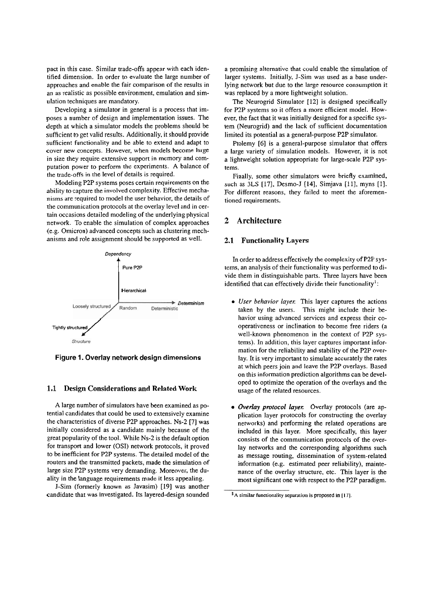pact in this case. Similar trade-offs appear with each identified dimension. In order to evaluate the large number of approaches and enable the fair comparison of the results in an as realistic as possible environment, emulation and simulation techniques are mandatory.

Developing a simulator in general is a process that imposes a number of design and implementation issues. The depth at which a simulator models the problems should be sufficient to get valid results. Additionally, it should provide sufficient functionality and be able to extend and adapt to cover new concepts. However, when models become large in size they require extensive support in memory and computation power to perform the experiments. **A** balance of the trade-offs in the level of details is required.

Modeling P2P systems poses certain requirements on the ability to capture the involved complexity. Effective mechanisms are required to model the user behavior, the details of the communication protocols at the overlay level and in certain occasions detailed modeling of the underlying physical network. To enable the simulation of complex approaches (e.g. Omicron) advanced concepts such as clustering mechanisms and role assignment should be supported as well.



Figure 1. Overlay network design dimensions

# **1.1 Design Considerations and Related Work**

A large number of simulators have been examined as potential candidates that could be used to extensively examine the characteristics of diverse P2P approaches. Ns-2 [7] was initially considered as a candidate mainly because of the great popularity of the tool. While Ns-2 is the default option for transport and lower (OSI) network protocols, it proved to be inefficient for P2P systems. The detailed model of the routers and the transmitted packets, made the simulation of large size P2P systems very demanding. Moreover, the duality in the language requirements made it less appealing.

J-Sim (formerly known as Javasim) [19] was another candidate that was investigated. Its layered-design sounded a promising alternative that could enable the simulation of larger systems. Initially, J-Sim was used as a base underlying network but due to the large resource consumption it was replaced by a more lightweight solution.

The Neurogrid Simulator [12] is designed specifically for P2P systems so it offers a more efficient model. However, the fact that it was initially designed for a specific system (Neurogrid) and the lack of sufficient documentation limited its potential as a general-purpose P2P simulator.

Ptolemy [G] is a general-purpose simulator that offers a large variety of simulation models. However, it is not a lightweight solution appropriate for large-scale P2P systems.

Finally, some other simulators were briefly examined, such as 3LS [17], Desmo-J **[14],** Simjava [ll], myns [I]. For different reasons, they failed to meet the aforementioned requirements.

# **2 Architecture**

### **2.1 Functionality Layers**

In order to address effectively the complexity of P2P systems, an analysis of their functionality was performed to divide them in distinguishable parts. Three layers have been identified that can effectively divide their functionality<sup>1</sup>:

- **User behavior layer:** This layer captures the actions taken by the users. This might include their behavior using advanced services and express their cooperativeness or inclination to become free riders (a well-known phenomenon in the context of P2P systems). In addition, this layer captures important information for the reliability and stability of the P2P overlay. It is very important to simulate accurately the rates at which peers join and leave the P2P overlays. Based on this information prediction algorithms can be developed to optimize the operation of the overlays and the usage of the related resources.
- Overlay protocol layer. Overlay protocols (are application layer protocols for constructing the overlay networks) and performing the related operations are included in this layer. More specifically, this layer consists of the communication protocols of the overlay networks and the corresponding algorithms such as message routing, dissemination of system-related information (e.g. estimated peer reliability), maintenance of the overlay structure, etc. This layer is the most significant one with respect to the P2P paradigm.

<sup>&</sup>lt;sup>1</sup>A similar functionality separation is proposed in [17].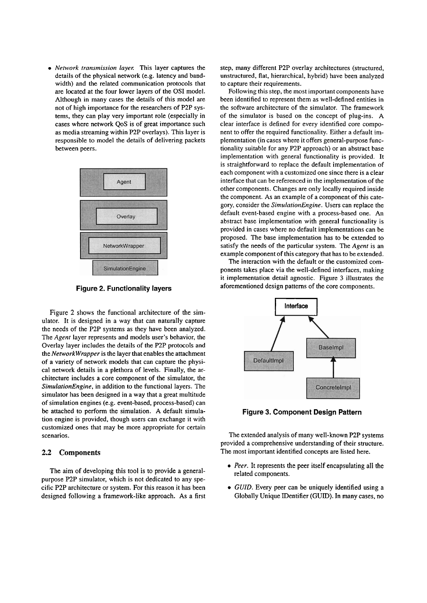*Network transmission layer:* This layer captures the details of the physical network (e.g. latency and bandwidth) and the related communication protocols that are located at the four lower layers of the OS1 model. Although in many cases the details of this model are not of high importance for the researchers of P2P systems, they can play very important role (especially in cases where network QoS is of great importance such as media streaming within P2P overlays). This layer is responsible to model the details of delivering packets between peers.



**Figure 2. Functionality layers** 

Figure 2 shows the functional architecture of the simulator. It is designed in a way that can naturally capture the needs of the P2P systems as they have been analyzed. Tlie *Agent* layer represents and models user's behavior, the Overlay layer includes the details of the P2P protocols and the *NenvorkWrapper* is the layer that enables the attachment of a variety of network models that can capture the physical network details in a plethora of levels. Finally, the architecture includes a core component of the simulator, the *SimulationEngine,* in addition to the functional layers. The simulator has been designed in a way that a great multitude of simulation engines (e.g. event-based, process-based) can be attached to perform the simulation. A default simulation engine is provided, though users can exchange it with customized ones that may be more appropriate for certain scenarios.

#### **2.2 Components**

The aim of developing this tool is to provide a generalpurpose P2P simulator, which is not dedicated to any specific P2P architecture or system. For this reason it has been designed following a framework-like approach. As a first step, many different P2P overlay architectures (structured, unstructured, flat, hierarchical, hybrid) have been analyzed to capture their requirements.

Following this step, the most important components have been identified to represent them as well-defined entities in the software architecture of the simulator. The framework of the simulator is based on the concept of plug-ins. A clear interface is defined for every identified core component to offer the required functionality. Either a default implementation (in cases where it offers general-purpose functionality suitable for any P2P approach) or an abstract base implementation with general functionality is provided. It is straightforward to replace the default implementation of each component with a customized one since there is a clear interface that can be referenced in the implementation of the other components. Changes are only locally required inside the component. As an example of a component of this category, consider the *SimulationEngine.* Users can replace the default event-based engine with a process-based one. An abstract base implementation with general functionality is provided in cases where no default implementations can be proposed. The base implementation has to be extended to satisfy the needs of the particular system. The *Agent* is an example component of this category that has to be extended.

The interaction with the default or the customized components takes place via the well-defined interfaces, making it implementation detail agnostic. Figure **3** illustrates the aforementioned design patterns of the core components.



**Figure 3. Component Design Pattern** 

The extended analysis of many well-known P2P systems provided a comprehensive understanding of their structure. The most important identified concepts are listed here.

- Peer. It represents the peer itself encapsulating all the related components.
- *GUID*. Every peer can be uniquely identified using a Globally Unique IDentifier (GUID). In many cases, no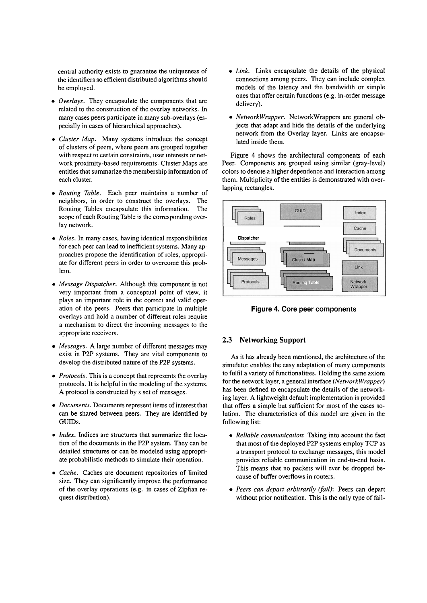central authority exists to guarantee the uniqueness of the identifiers so efficient distributed algorithms should be employed.

- *Overlays.* They encapsulate the components that are related to the construction of the overlay networks. In many cases peers participate in many sub-overlays (especially in cases of hierarchical approaches).
- *Cluster Map.* Many systems introduce the concept of clusters of peers, where peers are grouped together with respect to certain constraints, user interests or network proximity-based requirements. Cluster Maps are entities that summarize the membership information of each cluster.
- *Routing Table.* Each peer maintains a number of neighbors, in order to construct the overlays. The Routing Tables encapsulate this information. The scope of each Routing Table is the corresponding overlay network.
- *Roles.* In many cases, having identical responsibilities for each peer can lead to inefficient systems. Many approaches propose the identification of roles, appropriate for different peers in order to overcome this problem.
- *Message Dispatcher.* Although this component is not very important from a conceptual point of view, it plays an important role in the correct and valid operation of the peers. Peers that participate in multiple overlays and hold a number of different roles require a mechanism to direct the incoming messages to the appropriate receivers.
- *Messages. A* large number of different messages may exist in P2P systems. They are vital components to develop the distributed nature of the P2P systems.
- *Protocols*. This is a concept that represents the overlay protocols. It is helpful in the modeling of the systems. A protocol is constructed by s set of messages.
- *Documents.* Documents represent items of interest that can be shared between peers. They are identified by GUIDs.
- *Index.* Indices are structures that summarize the location of the documents in the P2P System. They can be detailed structures or can be modeled using appropriate probabilistic methods to simulate their operation.
- *Cache.* Caches are document repositories of limited size. They can significantly improve the performance of the overlay operations (e.g. in cases of Zipfian request distribution).
- *Link.* Links encapsulate the details of the physical connections among peers. They can include complex models of the latency and the bandwidth or simple ones that offer certain functions (e.g. in-order message delivery).
- *NetworkWrapper.* NetworkWrappers are general objects that adapt and hide the details of the underlying network from the Overlay layer. Links are encapsulated inside them.

Figure 4 shows the architectural components of each Peer. Components are grouped using similar (gray-level) colors to denote a higher dependence and interaction among them. Multiplicity of the entities is demonstrated with overlapping rectangles.



**Figure 4. Core peer components** 

### **2.3 Networking Support**

As it has already been mentioned, the architecture of the simulator enables the easy adaptation of many components to fulfil a variety of functionalities. Holding the Same axiom for the network layer, a general interface *(NetworkWrapper)*  has been defined to encapsulate the details of the networking layer. **A** lightweight default implementation is provided that offers a simple but sufficient for most of the cases solution. The characteristics of this model are given in the following list:

- *Reliable communication:* Taking into account the fact that most of the deployed P2P systems employ TCP as a transport protocol to exchange messages, this model provides reliable communication in end-to-end basis. This means that no packets will ever be dropped because of buffer overflows in routers.
- *Peers can depart arbitrarily (fail):* Peers can depart without prior notification. This is the only type of fail-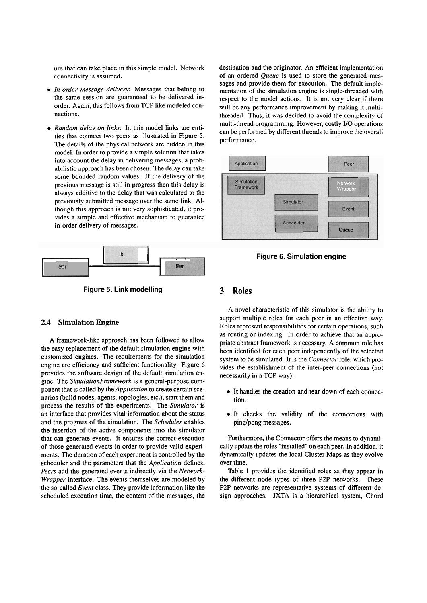ure that can take place in this simple model. Network connectivity is assumed.

- *In-order message delivery:* Messages that belong to the Same session are guaranteed to be delivered inorder. Again, this follows from TCP like modeled connections.
- *Random delay on links:* In this model links are entities that connect two peers as illustrated in Figure 5. The details of the physical network are hidden in this model. In order to provide a simple solution that takes into account the delay in delivering messages, a probabilistic approach has been chosen. The delay can take some bounded random values. If the delivery of the previous message is still in progress then this delay is always additive to the delay that was calculated to the previously submitted message over the Same link. Although this approach is not very sophisticated, it provides a simple and effective mechanism to guarantee in-order delivery of messages.



**Figure 5. Link modelling** 

#### **2.4 Simulation Engine**

A framework-like approach has been followed to allow the easy replacement of the default simulation engine with customized engines. The requirements for the simulation engine are efficiency and sufficient functionality. Figure *6*  provides the software design of the default simulation engine. The *SimulationFramework* is a general-purpose component that is called by the *Application* to create certain scenarios (build nodes, agents, topologies, etc.), Start them and process the results of the experiments. The *Simulator* is an interface that provides vital information about the Status and the progress of the simulation. The *Scheduler* enables the insertion of the active components into the simulator that can generate events. It ensures the correct execution of those generated events in order to provide valid experiments. The duration of each experiment is controlled by the scheduler and the parameters that the *Application* defines. *Peers* add the generated events indirectly via the *Network-Wrapper* interface. The events themselves are modeled by the so-called *Event* class. They provide information like the scheduled execution time, the content of the messages, the destination and the originator. An efficient implementation of an ordered *Queue* is used to store the generated messages and provide them for execution. The default implementation of the simulation engine is single-threaded with respect to the model actions. It is not very clear if there will be any performance improvement by making it multithreaded. Thus, it was decided to avoid the complexity of multi-thread programming. However, costly **U0** operations can be performed by different threads to improve the overall performance.



**Figure 6. Simulation engine** 

#### **3 Roles**

A novel characteristic of this simulator is the ability to support multiple roles for each peer in an effective way. Roles represent responsibilities for certain operations, such as routing or indexing. In order to achieve that an appropriate abstract framework is necessary. A common role has been identified for each peer independently of the selected system to be simulated. It is the *Connector* role, which provides the establishment of the inter-peer connections (not necessarily in a TCP way):

- It handles the creation and tear-down of each connection.
- It checks the validity of the connections with ping/pong messages.

Furthermore, the Connector offers the means to dynamically update the roles "installed" on each peer. In addition, it dynamically updates the local Cluster Maps as they evolve over time.

Table 1 provides the identified roles as they appear in the different node types of three P2P networks. These P2P networks are representative systems of different design approaches. JXTA is a hierarchical system, Chord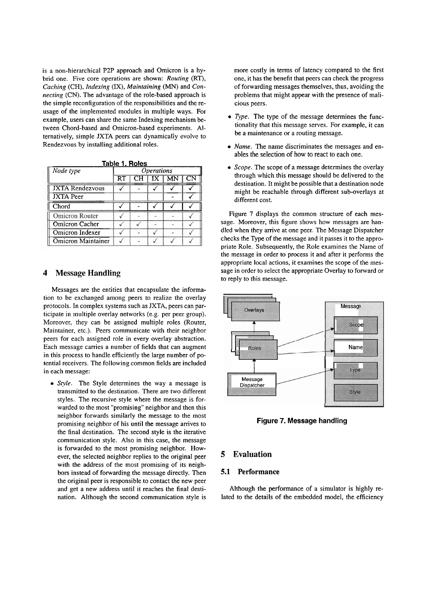is a non-hierarchical P2P approach and Omicron is a hybrid one. Five core operations are shown: *Routing* (RT), *Caching* (CH), *lndexing* (IX), *Maintaining (MN)* and *Connecting* (CN). The advantage of the role-based approach is the simple reconfiguration of the responsibilities and the reusage of the implemented modules in multiple ways. For example, users can share the same Indexing mechanism between Chord-based and Omicron-based experiments. Alternatively, simple JXTA peers can dynamically evolve to Rendezvous by installing additional roles.

| Table 1. Roles            |                          |  |  |  |    |  |
|---------------------------|--------------------------|--|--|--|----|--|
| Node type                 | <i><b>Operations</b></i> |  |  |  |    |  |
|                           | RI                       |  |  |  | CN |  |
| <b>JXTA Rendezvous</b>    |                          |  |  |  |    |  |
| <b>JXTA</b> Peer          |                          |  |  |  |    |  |
| Chord                     |                          |  |  |  |    |  |
| <b>Omicron Router</b>     |                          |  |  |  |    |  |
| Omicron Cacher            |                          |  |  |  |    |  |
| Omicron Indexer           |                          |  |  |  |    |  |
| <b>Omicron Maintainer</b> |                          |  |  |  |    |  |

# **4 Message Handling**

Messages are the entities that encapsulate the information to be exchanged among peers to realize the overlay protocols. In complex Systems such as JXTA, peers can participate in multiple overlay networks (e.g. per peer group). Moreover, they can be assigned multiple roles (Router, Maintainer, etc.). Peers communicate with their neighbor peers for each assigned role in every overlay abstraction. Each message carries a number of fields that can augment in this process to handle efficiently the large number of potential receivers. The following common fields are included in each message:

*Style.* The Style deterrnines the way a message is transmitted to the destination. There are two different styles. The recursive style where the message is forwarded to the most "promising" neighbor and then this neighbor forwards similarly the message to the most promising neighbor of his until the message arrives to the final destination. The second style is the iterative communication style. Also in this case, the message is forwarded to the most promising neighbor. However, the selected neighbor replies to the original peer with the address of the most promising of its neighbors instead of forwarding the message directly. Then the original peer is responsible to contact the new peer and get a new address until it reaches the final destination. Although the second communication style is

more costly in terms of latency compared to the first one, it has the benefit that peers can check the progress of forwarding messages themselves, thus, avoiding the problems that might appear with the presence of malicious peers.

- *Type.* The type of the message determines the functionality that this message serves. For example, it can be a maintenance or a routing message.
- *Name.* The name discriminates the messages and enables the selection of how to react to each one.
- *Scope.* The scope of a message determines the overlay through which this message should be delivered to the destination. It might be possible that a destination node might be reachable through different sub-overlays at different cost.

Figure 7 displays the common structure of each message. Moreover, this figure shows how messages are handled when they arrive at one peer. The Message Dispatcher checks the Type of the message and it passes it to the appropriate Role. Subsequently, the Role examines the Name of the message in order to process it and after it performs the appropriate local actions, it examines the scope of the message in order to select the appropriate Overlay to forward or to reply to this message.



Figure 7. Message handling

# **5 Evaluation**

# **5.1 Performance**

Although the performance of a simulator is highly related to the details of the embedded model, the efficiency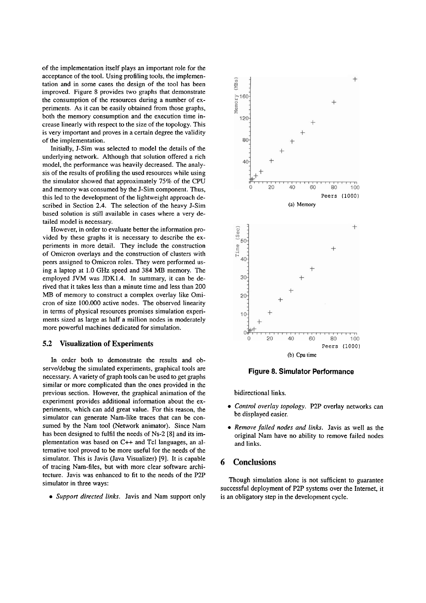of the implementation itself plays an important role for the acceptance of the tool. Using profiling tools, the implementation and in some cases the design of the tool has been improved. Figure 8 provides two graphs that demonstrate the consumption of the resources during a number of experiments. As it can be easily obtained from those graphs, both the memory consumption and the execution time increase linearly with respect to the size of the topology. This is very important and proves in a certain degree the validity of the implementation.

Initially, J-Sim was selected to model the details of the underlying network. Although that solution offered a rich model, the performance was heavily decreased. The analysis of the results of profiling the used resources while using the simulator showed that approximately 75% of the CPU and memory was consumed by the J-Sim component. Thus, this led to the development of the lightweight approach described in Section 2.4. The selection of the heavy J-Sim based solution is still available in cases where a very detailed model is necessary.

However, in order to evaluate better the information provided by these graphs it is necessary to describe the experiments in more detail. They include the construction of Omicron overlays and the construction of clusters with peers assigned to Omicron roles. They were performed using a laptop at 1.0 GHz speed and 384 MB memory. The employed JVM was JDK1.4. In Summary, it can be derived that it takes less than a minute time and less than 200 MB of memory to construct a complex overlay like Omicron of size 100.000 active nodes. The observed linearity in terms of physical resources promises simulation experiments sized as large as half a million nodes in moderately more powerful machines dedicated for simulation.

# **5.2 Visualization of Experiments**

In order both to demonstrate the results and observe/debug the simulated experiments, graphical tools are necessary. A variety of graph tools can be used to get graphs similar or more complicated than the ones provided in the previous section. However, the graphical animation of the experiment provides additional information about the experiments, which can add great value. For this reason, the simulator can generate Nam-like traces that can be consumed by the Nam tool (Network animator). Since Nam has been designed to fulfil the needs of Ns-2 [8] and its implementation was based on C++ and Tcl languages, an alternative tool proved to be more useful for the needs of the simulator. This is Javis (Java Visualizer) **[9].** It is capable of tracing Nam-files, but with more clear software architecture. Javis was enhanced to fit to the needs of the P2P simulator in three ways:

*Support directed links.* Javis and Nam support only



**Figure 8. Simulator Performance** 

bidirectional links.

- *Control overlay topology.* P2P overlay networks can be displayed easier.
- *Remove failed nodes und links.* Javis as well as the original Nam have no ability to remove failed nodes and links.

### *6* **Conclusions**

Though simulation alone is not sufficient to guarantee successful deployment of P2P Systems over the Internet, it is an obligatory step in the development cycle.